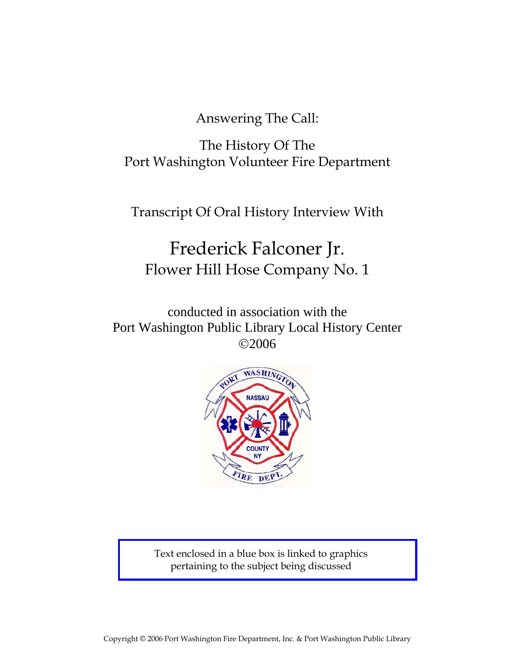Answering The Call:

The History Of The Port Washington Volunteer Fire Department

Transcript Of Oral History Interview With

# Frederick Falconer Jr. Flower Hill Hose Company No. 1

conducted in association with the Port Washington Public Library Local History Center ©2006



Text enclosed in a blue box is linked to graphics pertaining to the subject being discussed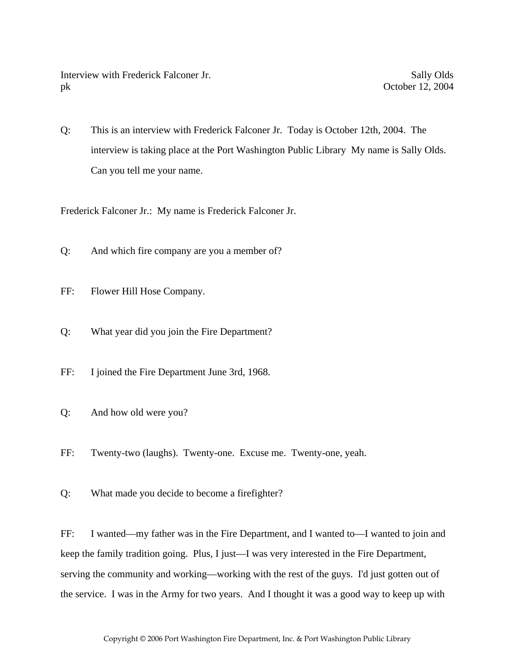Interview with Frederick Falconer Jr. Sally Olds pk October 12, 2004

Q: This is an interview with Frederick Falconer Jr. Today is October 12th, 2004. The interview is taking place at the Port Washington Public Library My name is Sally Olds. Can you tell me your name.

Frederick Falconer Jr.: My name is Frederick Falconer Jr.

- Q: And which fire company are you a member of?
- FF: Flower Hill Hose Company.
- Q: What year did you join the Fire Department?
- FF: I joined the Fire Department June 3rd, 1968.
- Q: And how old were you?
- FF: Twenty-two (laughs). Twenty-one. Excuse me. Twenty-one, yeah.
- Q: What made you decide to become a firefighter?

FF: I wanted—my father was in the Fire Department, and I wanted to—I wanted to join and keep the family tradition going. Plus, I just—I was very interested in the Fire Department, serving the community and working—working with the rest of the guys. I'd just gotten out of the service. I was in the Army for two years. And I thought it was a good way to keep up with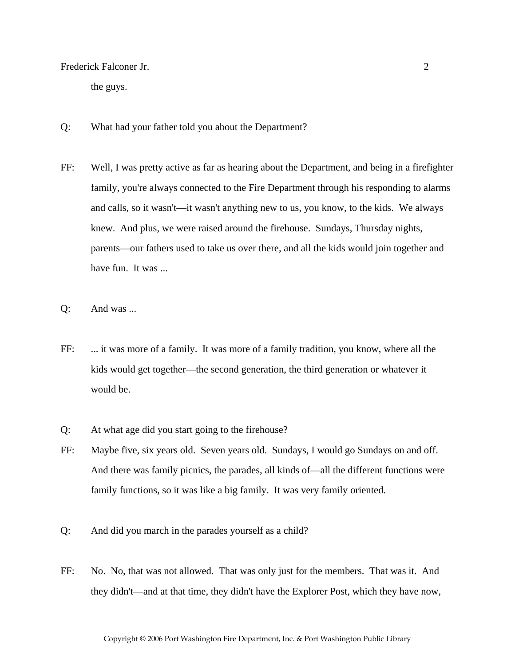the guys.

- Q: What had your father told you about the Department?
- FF: Well, I was pretty active as far as hearing about the Department, and being in a firefighter family, you're always connected to the Fire Department through his responding to alarms and calls, so it wasn't—it wasn't anything new to us, you know, to the kids. We always knew. And plus, we were raised around the firehouse. Sundays, Thursday nights, parents—our fathers used to take us over there, and all the kids would join together and have fun. It was ...
- Q: And was ...
- FF: ... it was more of a family. It was more of a family tradition, you know, where all the kids would get together—the second generation, the third generation or whatever it would be.
- Q: At what age did you start going to the firehouse?
- FF: Maybe five, six years old. Seven years old. Sundays, I would go Sundays on and off. And there was family picnics, the parades, all kinds of—all the different functions were family functions, so it was like a big family. It was very family oriented.
- Q: And did you march in the parades yourself as a child?
- FF: No. No, that was not allowed. That was only just for the members. That was it. And they didn't—and at that time, they didn't have the Explorer Post, which they have now,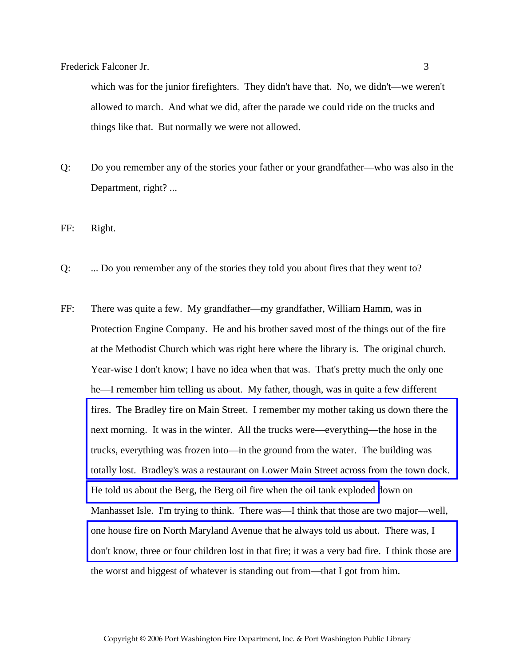which was for the junior firefighters. They didn't have that. No, we didn't—we weren't allowed to march. And what we did, after the parade we could ride on the trucks and things like that. But normally we were not allowed.

Q: Do you remember any of the stories your father or your grandfather—who was also in the Department, right? ...

FF: Right.

- Q: ... Do you remember any of the stories they told you about fires that they went to?
- FF: There was quite a few. My grandfather—my grandfather, William Hamm, was in Protection Engine Company. He and his brother saved most of the things out of the fire at the Methodist Church which was right here where the library is. The original church. Year-wise I don't know; I have no idea when that was. That's pretty much the only one he—I remember him telling us about. My father, though, was in quite a few different fires. The Bradley fire on Main Street. I remember my mother taking us down there the next morning. It was in the winter. All the trucks were—everything—the hose in the trucks, everything was frozen into—in the ground from the water. The building was [totally lost. Bradley's was a restaurant on Lower Main Street across from the town dock.](http://www.pwfdhistory.com/trans/falconerf_trans/peco_fires002.jpg)  [He told us about the Berg, the Berg oil fire when the oil tank exploded d](http://www.pwfdhistory.com/trans/falconerf_trans/news_hewitt_1940-05_web.jpg)own on Manhasset Isle. I'm trying to think. There was—I think that those are two major—well, one house fire on North Maryland Avenue that he always told us about. There was, I [don't know, three or four children lost in that fire; it was a very bad fire. I think those are](http://www.pwfdhistory.com/trans/falconerf_trans/pwfd_news041.pdf)  the worst and biggest of whatever is standing out from—that I got from him.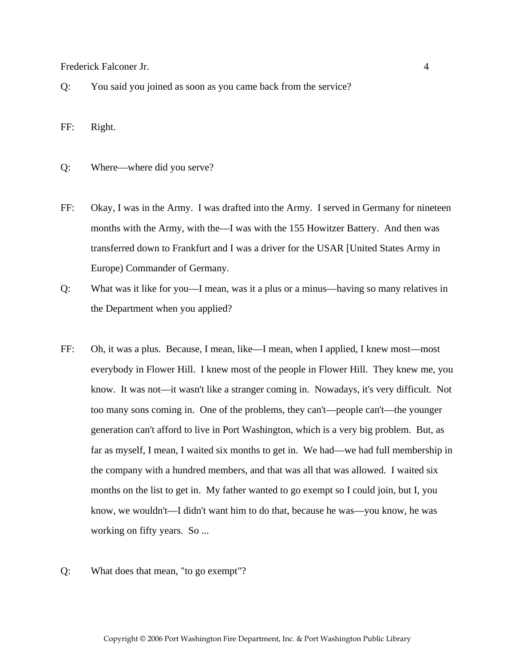Q: You said you joined as soon as you came back from the service?

FF: Right.

- Q: Where—where did you serve?
- FF: Okay, I was in the Army. I was drafted into the Army. I served in Germany for nineteen months with the Army, with the—I was with the 155 Howitzer Battery. And then was transferred down to Frankfurt and I was a driver for the USAR [United States Army in Europe) Commander of Germany.
- Q: What was it like for you—I mean, was it a plus or a minus—having so many relatives in the Department when you applied?
- FF: Oh, it was a plus. Because, I mean, like—I mean, when I applied, I knew most—most everybody in Flower Hill. I knew most of the people in Flower Hill. They knew me, you know. It was not—it wasn't like a stranger coming in. Nowadays, it's very difficult. Not too many sons coming in. One of the problems, they can't—people can't—the younger generation can't afford to live in Port Washington, which is a very big problem. But, as far as myself, I mean, I waited six months to get in. We had—we had full membership in the company with a hundred members, and that was all that was allowed. I waited six months on the list to get in. My father wanted to go exempt so I could join, but I, you know, we wouldn't—I didn't want him to do that, because he was—you know, he was working on fifty years. So ...
- Q: What does that mean, "to go exempt"?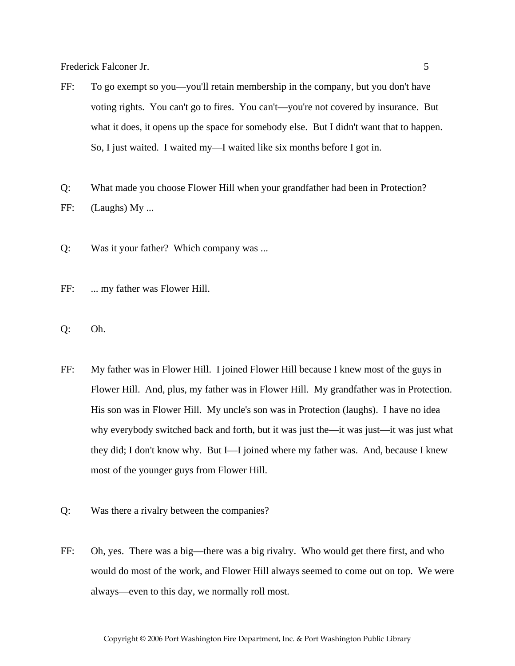- FF: To go exempt so you—you'll retain membership in the company, but you don't have voting rights. You can't go to fires. You can't—you're not covered by insurance. But what it does, it opens up the space for somebody else. But I didn't want that to happen. So, I just waited. I waited my—I waited like six months before I got in.
- Q: What made you choose Flower Hill when your grandfather had been in Protection? FF: (Laughs) My ...
- Q: Was it your father? Which company was ...
- FF: ... my father was Flower Hill.
- Q: Oh.
- FF: My father was in Flower Hill. I joined Flower Hill because I knew most of the guys in Flower Hill. And, plus, my father was in Flower Hill. My grandfather was in Protection. His son was in Flower Hill. My uncle's son was in Protection (laughs). I have no idea why everybody switched back and forth, but it was just the—it was just—it was just what they did; I don't know why. But I—I joined where my father was. And, because I knew most of the younger guys from Flower Hill.
- Q: Was there a rivalry between the companies?
- FF: Oh, yes. There was a big—there was a big rivalry. Who would get there first, and who would do most of the work, and Flower Hill always seemed to come out on top. We were always—even to this day, we normally roll most.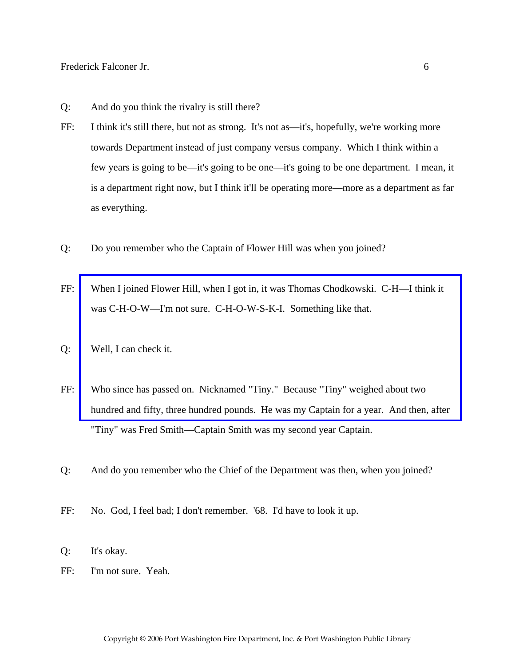- Q: And do you think the rivalry is still there?
- FF: I think it's still there, but not as strong. It's not as—it's, hopefully, we're working more towards Department instead of just company versus company. Which I think within a few years is going to be—it's going to be one—it's going to be one department. I mean, it is a department right now, but I think it'll be operating more—more as a department as far as everything.
- Q: Do you remember who the Captain of Flower Hill was when you joined?
- FF: [When I joined Flower Hill, when I got in, it was Thomas Chodkowski. C-H—I think it](http://www.pwfdhistory.com/trans/falconerf_trans/news_cocks072a_web.jpg)  was C-H-O-W—I'm not sure. C-H-O-W-S-K-I. Something like that.
- Q: Well, I can check it.
- FF: Who since has passed on. Nicknamed "Tiny." Because "Tiny" weighed about two hundred and fifty, three hundred pounds. He was my Captain for a year. And then, after "Tiny" was Fred Smith—Captain Smith was my second year Captain.
- Q: And do you remember who the Chief of the Department was then, when you joined?
- FF: No. God, I feel bad; I don't remember. '68. I'd have to look it up.
- Q: It's okay.
- FF: I'm not sure. Yeah.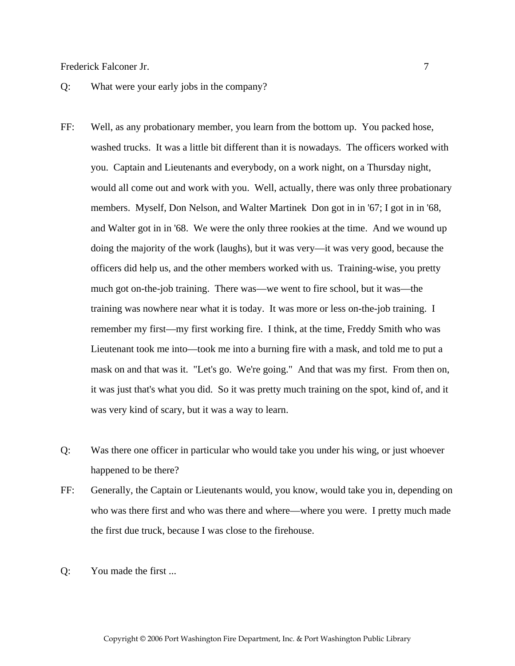#### Q: What were your early jobs in the company?

- FF: Well, as any probationary member, you learn from the bottom up. You packed hose, washed trucks. It was a little bit different than it is nowadays. The officers worked with you. Captain and Lieutenants and everybody, on a work night, on a Thursday night, would all come out and work with you. Well, actually, there was only three probationary members. Myself, Don Nelson, and Walter Martinek Don got in in '67; I got in in '68, and Walter got in in '68. We were the only three rookies at the time. And we wound up doing the majority of the work (laughs), but it was very—it was very good, because the officers did help us, and the other members worked with us. Training-wise, you pretty much got on-the-job training. There was—we went to fire school, but it was—the training was nowhere near what it is today. It was more or less on-the-job training. I remember my first—my first working fire. I think, at the time, Freddy Smith who was Lieutenant took me into—took me into a burning fire with a mask, and told me to put a mask on and that was it. "Let's go. We're going." And that was my first. From then on, it was just that's what you did. So it was pretty much training on the spot, kind of, and it was very kind of scary, but it was a way to learn.
- Q: Was there one officer in particular who would take you under his wing, or just whoever happened to be there?
- FF: Generally, the Captain or Lieutenants would, you know, would take you in, depending on who was there first and who was there and where—where you were. I pretty much made the first due truck, because I was close to the firehouse.
- Q: You made the first ...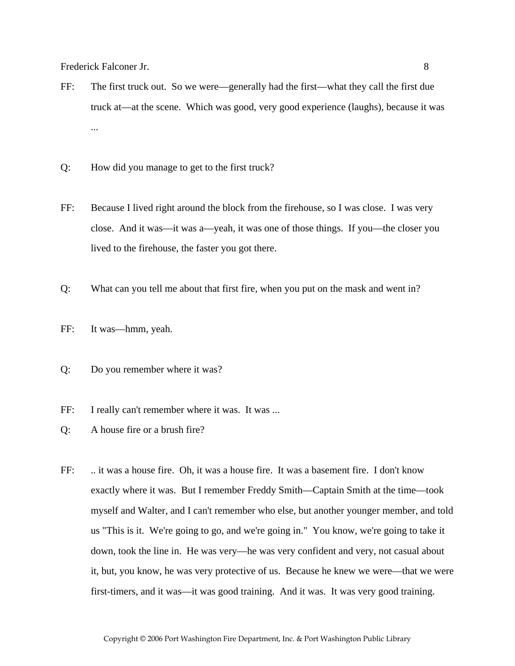- FF: The first truck out. So we were—generally had the first—what they call the first due truck at—at the scene. Which was good, very good experience (laughs), because it was ...
- Q: How did you manage to get to the first truck?
- FF: Because I lived right around the block from the firehouse, so I was close. I was very close. And it was—it was a—yeah, it was one of those things. If you—the closer you lived to the firehouse, the faster you got there.
- Q: What can you tell me about that first fire, when you put on the mask and went in?
- FF: It was—hmm, yeah.
- Q: Do you remember where it was?
- FF: I really can't remember where it was. It was ...
- Q: A house fire or a brush fire?
- FF: ... it was a house fire. Oh, it was a house fire. It was a basement fire. I don't know exactly where it was. But I remember Freddy Smith—Captain Smith at the time—took myself and Walter, and I can't remember who else, but another younger member, and told us "This is it. We're going to go, and we're going in." You know, we're going to take it down, took the line in. He was very—he was very confident and very, not casual about it, but, you know, he was very protective of us. Because he knew we were—that we were first-timers, and it was—it was good training. And it was. It was very good training.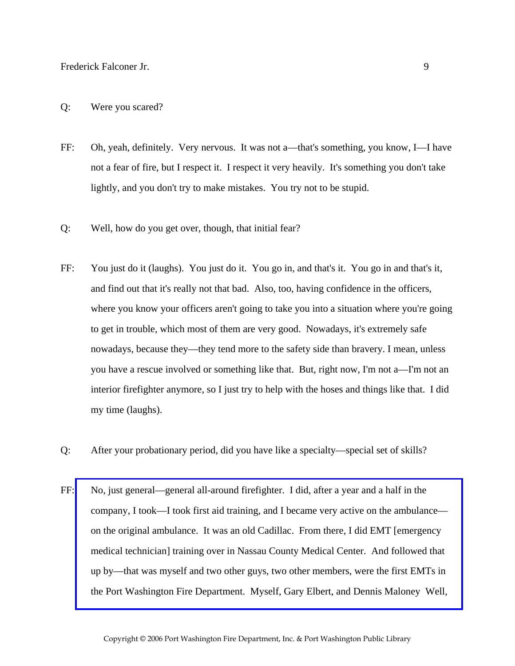## Q: Were you scared?

- FF: Oh, yeah, definitely. Very nervous. It was not a—that's something, you know, I—I have not a fear of fire, but I respect it. I respect it very heavily. It's something you don't take lightly, and you don't try to make mistakes. You try not to be stupid.
- Q: Well, how do you get over, though, that initial fear?
- FF: You just do it (laughs). You just do it. You go in, and that's it. You go in and that's it, and find out that it's really not that bad. Also, too, having confidence in the officers, where you know your officers aren't going to take you into a situation where you're going to get in trouble, which most of them are very good. Nowadays, it's extremely safe nowadays, because they—they tend more to the safety side than bravery. I mean, unless you have a rescue involved or something like that. But, right now, I'm not a—I'm not an interior firefighter anymore, so I just try to help with the hoses and things like that. I did my time (laughs).
- Q: After your probationary period, did you have like a specialty—special set of skills?
- FF: No, just general—general all-around firefighter. I did, after a year and a half in the company, I took—I took first aid training, and I became very active on the ambulance on the original ambulance. It was an old Cadillac. From there, I did EMT [emergency medical technician] training over in Nassau County Medical Center. And followed that up by—that was myself and two other guys, two other members, were the first EMTs in [the Port Washington Fire Department. Myself, Gary Elbert, and Dennis Maloney Well,](http://www.pwfdhistory.com/trans/falconerf_trans/news_cocks259a_web.jpg)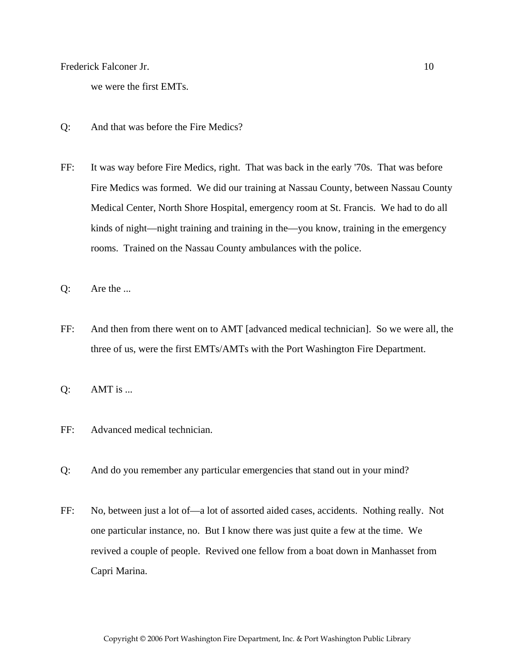we were the first EMTs.

- Q: And that was before the Fire Medics?
- FF: It was way before Fire Medics, right. That was back in the early '70s. That was before Fire Medics was formed. We did our training at Nassau County, between Nassau County Medical Center, North Shore Hospital, emergency room at St. Francis. We had to do all kinds of night—night training and training in the—you know, training in the emergency rooms. Trained on the Nassau County ambulances with the police.
- Q: Are the ...
- FF: And then from there went on to AMT [advanced medical technician]. So we were all, the three of us, were the first EMTs/AMTs with the Port Washington Fire Department.
- Q: AMT is ...
- FF: Advanced medical technician.
- Q: And do you remember any particular emergencies that stand out in your mind?
- FF: No, between just a lot of—a lot of assorted aided cases, accidents. Nothing really. Not one particular instance, no. But I know there was just quite a few at the time. We revived a couple of people. Revived one fellow from a boat down in Manhasset from Capri Marina.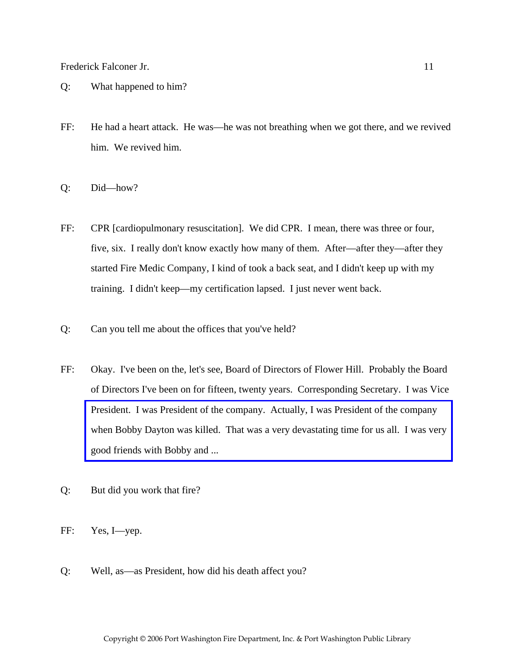- Q: What happened to him?
- FF: He had a heart attack. He was—he was not breathing when we got there, and we revived him. We revived him.
- Q: Did—how?
- FF: CPR [cardiopulmonary resuscitation]. We did CPR. I mean, there was three or four, five, six. I really don't know exactly how many of them. After—after they—after they started Fire Medic Company, I kind of took a back seat, and I didn't keep up with my training. I didn't keep—my certification lapsed. I just never went back.
- Q: Can you tell me about the offices that you've held?
- FF: Okay. I've been on the, let's see, Board of Directors of Flower Hill. Probably the Board of Directors I've been on for fifteen, twenty years. Corresponding Secretary. I was Vice President. I was President of the company. Actually, I was President of the company [when Bobby Dayton was killed. That was a very devastating time for us all. I was very](http://www.pwfdhistory.com/trans/falconerf_trans/nday881127_pz.pdf)  good friends with Bobby and ...
- Q: But did you work that fire?
- FF: Yes, I—yep.
- Q: Well, as—as President, how did his death affect you?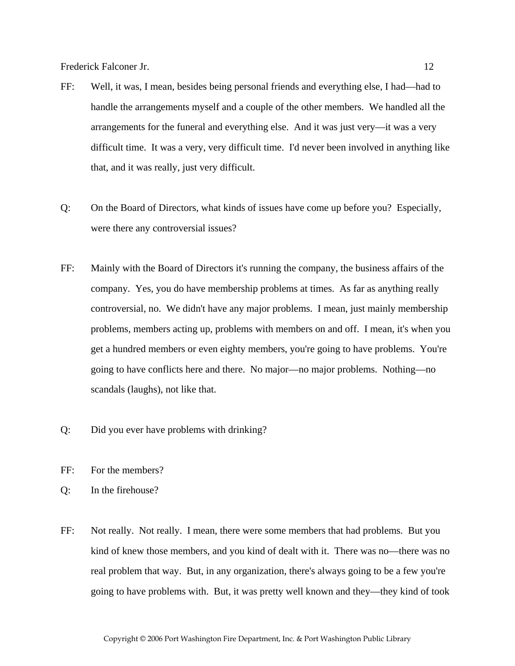- FF: Well, it was, I mean, besides being personal friends and everything else, I had—had to handle the arrangements myself and a couple of the other members. We handled all the arrangements for the funeral and everything else. And it was just very—it was a very difficult time. It was a very, very difficult time. I'd never been involved in anything like that, and it was really, just very difficult.
- Q: On the Board of Directors, what kinds of issues have come up before you? Especially, were there any controversial issues?
- FF: Mainly with the Board of Directors it's running the company, the business affairs of the company. Yes, you do have membership problems at times. As far as anything really controversial, no. We didn't have any major problems. I mean, just mainly membership problems, members acting up, problems with members on and off. I mean, it's when you get a hundred members or even eighty members, you're going to have problems. You're going to have conflicts here and there. No major—no major problems. Nothing—no scandals (laughs), not like that.
- Q: Did you ever have problems with drinking?
- FF: For the members?
- Q: In the firehouse?
- FF: Not really. Not really. I mean, there were some members that had problems. But you kind of knew those members, and you kind of dealt with it. There was no—there was no real problem that way. But, in any organization, there's always going to be a few you're going to have problems with. But, it was pretty well known and they—they kind of took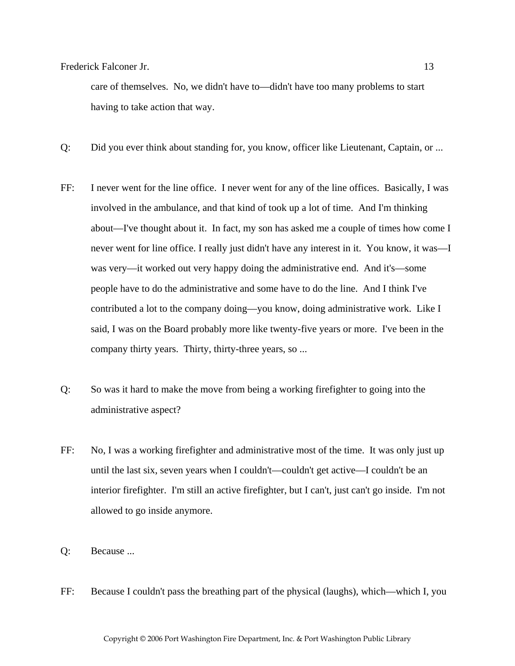care of themselves. No, we didn't have to—didn't have too many problems to start having to take action that way.

- Q: Did you ever think about standing for, you know, officer like Lieutenant, Captain, or ...
- FF: I never went for the line office. I never went for any of the line offices. Basically, I was involved in the ambulance, and that kind of took up a lot of time. And I'm thinking about—I've thought about it. In fact, my son has asked me a couple of times how come I never went for line office. I really just didn't have any interest in it. You know, it was—I was very—it worked out very happy doing the administrative end. And it's—some people have to do the administrative and some have to do the line. And I think I've contributed a lot to the company doing—you know, doing administrative work. Like I said, I was on the Board probably more like twenty-five years or more. I've been in the company thirty years. Thirty, thirty-three years, so ...
- Q: So was it hard to make the move from being a working firefighter to going into the administrative aspect?
- FF: No, I was a working firefighter and administrative most of the time. It was only just up until the last six, seven years when I couldn't—couldn't get active—I couldn't be an interior firefighter. I'm still an active firefighter, but I can't, just can't go inside. I'm not allowed to go inside anymore.
- Q: Because ...
- FF: Because I couldn't pass the breathing part of the physical (laughs), which—which I, you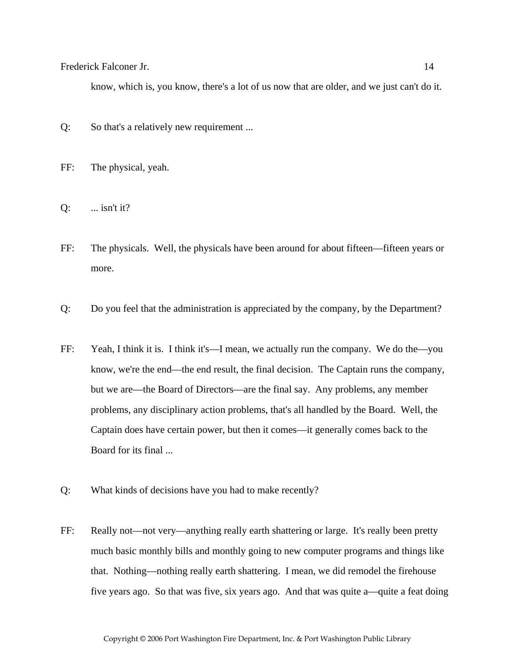know, which is, you know, there's a lot of us now that are older, and we just can't do it.

- Q: So that's a relatively new requirement ...
- FF: The physical, yeah.
- Q: ... isn't it?
- FF: The physicals. Well, the physicals have been around for about fifteen—fifteen years or more.
- Q: Do you feel that the administration is appreciated by the company, by the Department?
- FF: Yeah, I think it is. I think it's—I mean, we actually run the company. We do the—you know, we're the end—the end result, the final decision. The Captain runs the company, but we are—the Board of Directors—are the final say. Any problems, any member problems, any disciplinary action problems, that's all handled by the Board. Well, the Captain does have certain power, but then it comes—it generally comes back to the Board for its final ...
- Q: What kinds of decisions have you had to make recently?
- FF: Really not—not very—anything really earth shattering or large. It's really been pretty much basic monthly bills and monthly going to new computer programs and things like that. Nothing—nothing really earth shattering. I mean, we did remodel the firehouse five years ago. So that was five, six years ago. And that was quite a—quite a feat doing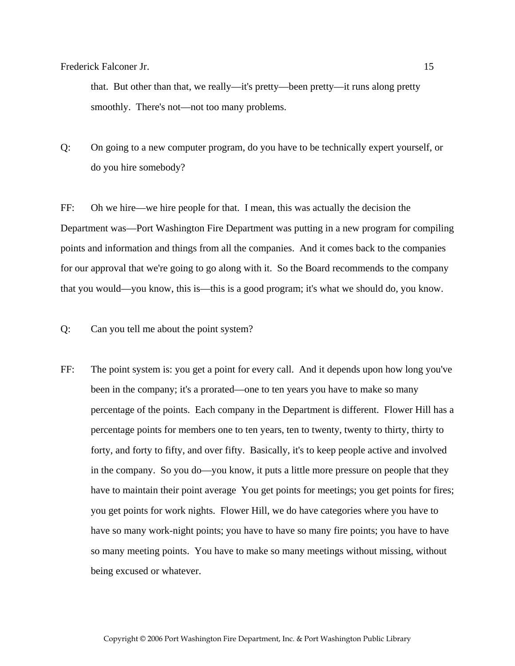that. But other than that, we really—it's pretty—been pretty—it runs along pretty smoothly. There's not—not too many problems.

Q: On going to a new computer program, do you have to be technically expert yourself, or do you hire somebody?

FF: Oh we hire—we hire people for that. I mean, this was actually the decision the Department was—Port Washington Fire Department was putting in a new program for compiling points and information and things from all the companies. And it comes back to the companies for our approval that we're going to go along with it. So the Board recommends to the company that you would—you know, this is—this is a good program; it's what we should do, you know.

- Q: Can you tell me about the point system?
- FF: The point system is: you get a point for every call. And it depends upon how long you've been in the company; it's a prorated—one to ten years you have to make so many percentage of the points. Each company in the Department is different. Flower Hill has a percentage points for members one to ten years, ten to twenty, twenty to thirty, thirty to forty, and forty to fifty, and over fifty. Basically, it's to keep people active and involved in the company. So you do—you know, it puts a little more pressure on people that they have to maintain their point average You get points for meetings; you get points for fires; you get points for work nights. Flower Hill, we do have categories where you have to have so many work-night points; you have to have so many fire points; you have to have so many meeting points. You have to make so many meetings without missing, without being excused or whatever.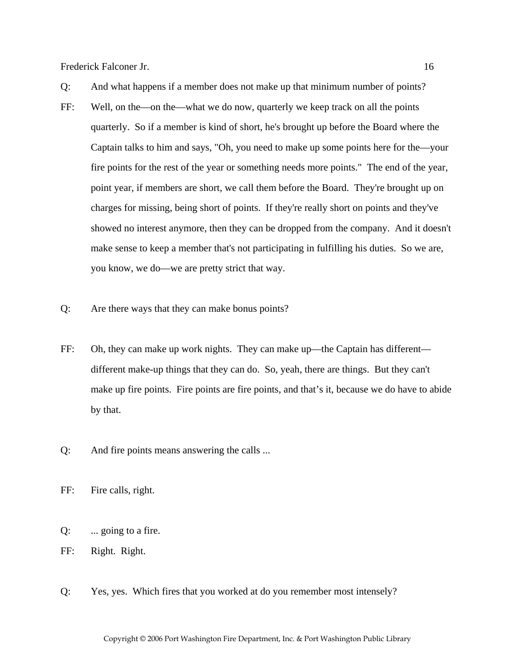- FF: Well, on the—on the—what we do now, quarterly we keep track on all the points quarterly. So if a member is kind of short, he's brought up before the Board where the Captain talks to him and says, "Oh, you need to make up some points here for the—your fire points for the rest of the year or something needs more points." The end of the year, point year, if members are short, we call them before the Board. They're brought up on charges for missing, being short of points. If they're really short on points and they've showed no interest anymore, then they can be dropped from the company. And it doesn't make sense to keep a member that's not participating in fulfilling his duties. So we are, you know, we do—we are pretty strict that way.
- Q: Are there ways that they can make bonus points?
- FF: Oh, they can make up work nights. They can make up—the Captain has different different make-up things that they can do. So, yeah, there are things. But they can't make up fire points. Fire points are fire points, and that's it, because we do have to abide by that.
- Q: And fire points means answering the calls ...

FF: Fire calls, right.

- Q: ... going to a fire.
- FF: Right. Right.
- Q: Yes, yes. Which fires that you worked at do you remember most intensely?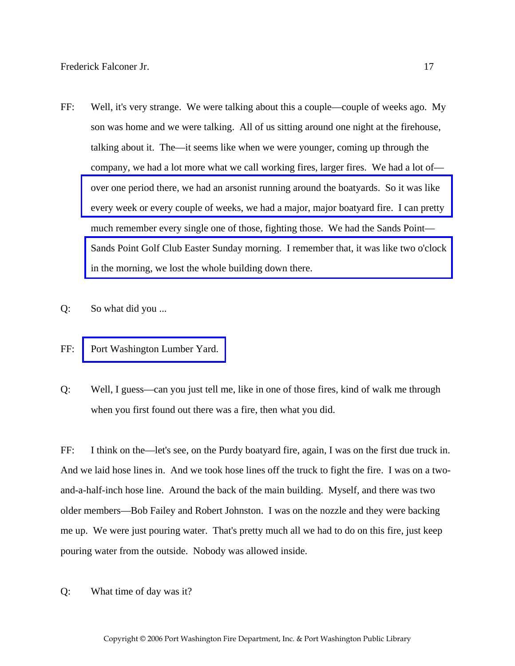- FF: Well, it's very strange. We were talking about this a couple—couple of weeks ago. My son was home and we were talking. All of us sitting around one night at the firehouse, talking about it. The—it seems like when we were younger, coming up through the company, we had a lot more what we call working fires, larger fires. We had a lot of over one period there, we had an arsonist running around the boatyards. So it was like [every week or every couple of weeks, we had a major, major boatyard fire. I can pretty](http://www.pwfdhistory.com/trans/falconerf_trans/news_cocks252_web.jpg)  much remember every single one of those, fighting those. We had the Sands Point— [Sands Point Golf Club Easter Sunday morning. I remember that, it was like two o'clock](http://www.pwfdhistory.com/trans/falconerf_trans/pwfd_news048_web.jpg)  in the morning, we lost the whole building down there.
- Q: So what did you ...
- FF: [Port Washington Lumber Yard.](http://www.pwfdhistory.com/trans/falconerf_trans/peco_fires034_web.jpg)
- Q: Well, I guess—can you just tell me, like in one of those fires, kind of walk me through when you first found out there was a fire, then what you did.

FF: I think on the—let's see, on the Purdy boatyard fire, again, I was on the first due truck in. And we laid hose lines in. And we took hose lines off the truck to fight the fire. I was on a twoand-a-half-inch hose line. Around the back of the main building. Myself, and there was two older members—Bob Failey and Robert Johnston. I was on the nozzle and they were backing me up. We were just pouring water. That's pretty much all we had to do on this fire, just keep pouring water from the outside. Nobody was allowed inside.

Q: What time of day was it?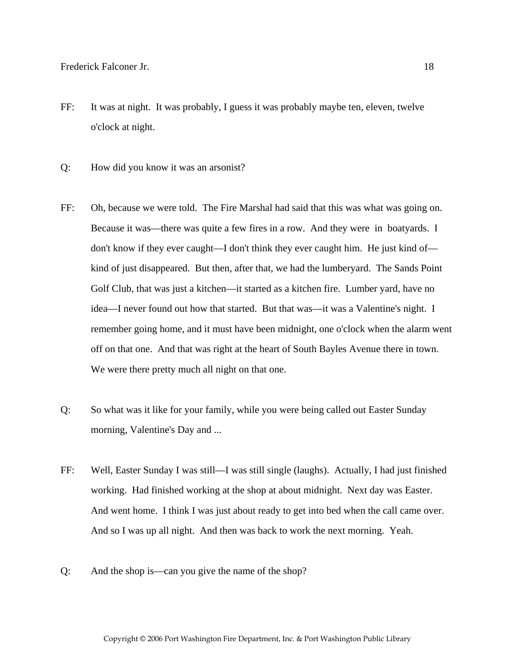- FF: It was at night. It was probably, I guess it was probably maybe ten, eleven, twelve o'clock at night.
- Q: How did you know it was an arsonist?
- FF: Oh, because we were told. The Fire Marshal had said that this was what was going on. Because it was—there was quite a few fires in a row. And they were in boatyards. I don't know if they ever caught—I don't think they ever caught him. He just kind of kind of just disappeared. But then, after that, we had the lumberyard. The Sands Point Golf Club, that was just a kitchen—it started as a kitchen fire. Lumber yard, have no idea—I never found out how that started. But that was—it was a Valentine's night. I remember going home, and it must have been midnight, one o'clock when the alarm went off on that one. And that was right at the heart of South Bayles Avenue there in town. We were there pretty much all night on that one.
- Q: So what was it like for your family, while you were being called out Easter Sunday morning, Valentine's Day and ...
- FF: Well, Easter Sunday I was still—I was still single (laughs). Actually, I had just finished working. Had finished working at the shop at about midnight. Next day was Easter. And went home. I think I was just about ready to get into bed when the call came over. And so I was up all night. And then was back to work the next morning. Yeah.
- Q: And the shop is—can you give the name of the shop?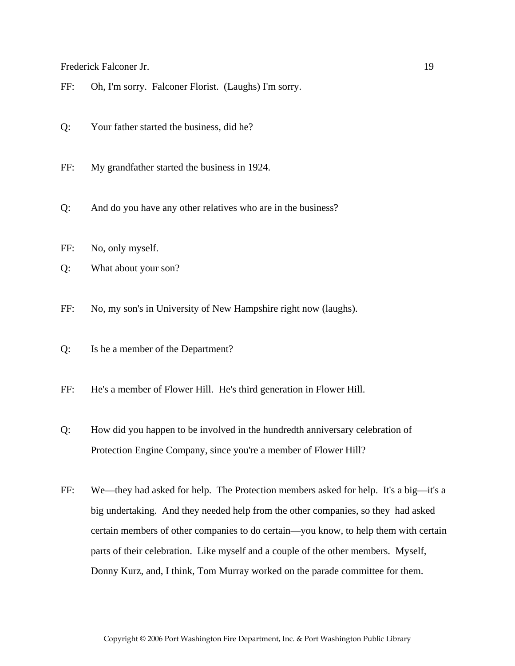- FF: Oh, I'm sorry. Falconer Florist. (Laughs) I'm sorry.
- Q: Your father started the business, did he?
- FF: My grandfather started the business in 1924.
- Q: And do you have any other relatives who are in the business?
- FF: No, only myself.
- Q: What about your son?
- FF: No, my son's in University of New Hampshire right now (laughs).
- Q: Is he a member of the Department?
- FF: He's a member of Flower Hill. He's third generation in Flower Hill.
- Q: How did you happen to be involved in the hundredth anniversary celebration of Protection Engine Company, since you're a member of Flower Hill?
- FF: We—they had asked for help. The Protection members asked for help. It's a big—it's a big undertaking. And they needed help from the other companies, so they had asked certain members of other companies to do certain—you know, to help them with certain parts of their celebration. Like myself and a couple of the other members. Myself, Donny Kurz, and, I think, Tom Murray worked on the parade committee for them.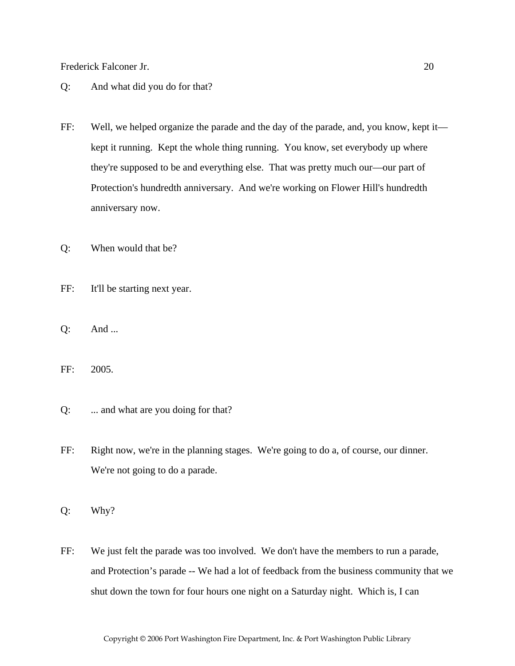- Q: And what did you do for that?
- FF: Well, we helped organize the parade and the day of the parade, and, you know, kept it kept it running. Kept the whole thing running. You know, set everybody up where they're supposed to be and everything else. That was pretty much our—our part of Protection's hundredth anniversary. And we're working on Flower Hill's hundredth anniversary now.
- Q: When would that be?
- FF: It'll be starting next year.
- Q: And ...
- FF: 2005.
- Q: ... and what are you doing for that?
- FF: Right now, we're in the planning stages. We're going to do a, of course, our dinner. We're not going to do a parade.
- Q: Why?
- FF: We just felt the parade was too involved. We don't have the members to run a parade, and Protection's parade -- We had a lot of feedback from the business community that we shut down the town for four hours one night on a Saturday night. Which is, I can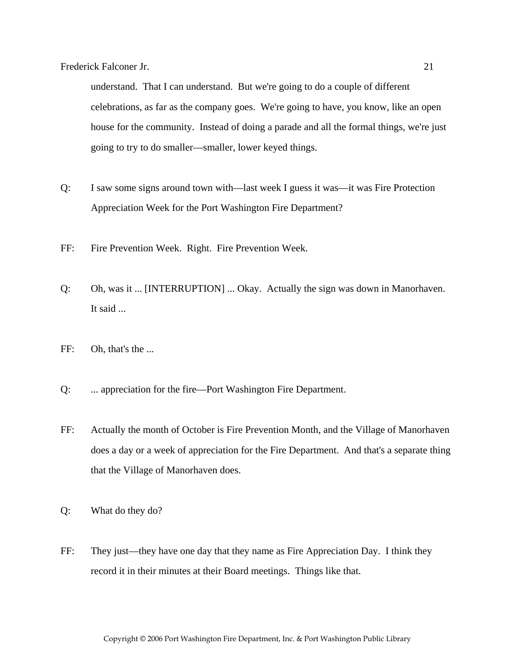understand. That I can understand. But we're going to do a couple of different celebrations, as far as the company goes. We're going to have, you know, like an open house for the community. Instead of doing a parade and all the formal things, we're just going to try to do smaller—smaller, lower keyed things.

- Q: I saw some signs around town with—last week I guess it was—it was Fire Protection Appreciation Week for the Port Washington Fire Department?
- FF: Fire Prevention Week. Right. Fire Prevention Week.
- Q: Oh, was it ... [INTERRUPTION] ... Okay. Actually the sign was down in Manorhaven. It said ...
- FF: Oh, that's the ...
- Q: ... appreciation for the fire—Port Washington Fire Department.
- FF: Actually the month of October is Fire Prevention Month, and the Village of Manorhaven does a day or a week of appreciation for the Fire Department. And that's a separate thing that the Village of Manorhaven does.
- Q: What do they do?
- FF: They just—they have one day that they name as Fire Appreciation Day. I think they record it in their minutes at their Board meetings. Things like that.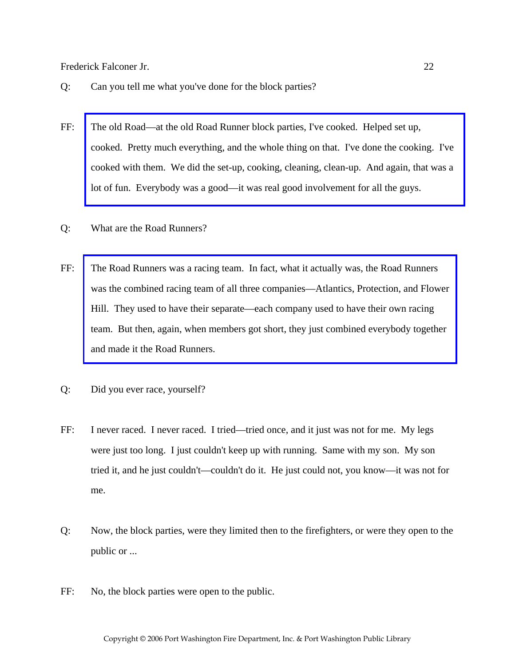- Q: Can you tell me what you've done for the block parties?
- FF: The old Road—at the old Road Runner block parties, I've cooked. Helped set up, [cooked. Pretty much everything, and the whole thing on that. I've done the cooking. I've](http://www.pwfdhistory.com/trans/falconerf_trans/news_cocks260a.jpg)  cooked with them. We did the set-up, cooking, cleaning, clean-up. And again, that was a lot of fun. Everybody was a good—it was real good involvement for all the guys.
- Q: What are the Road Runners?
- FF: The Road Runners was a racing team. In fact, what it actually was, the Road Runners [was the combined racing team of all three companies—Atlantics, Protection, and Flower](http://www.pwfdhistory.com/trans/falconerf_trans/pwfd_racing005_web.jpg)  Hill. They used to have their separate—each company used to have their own racing team. But then, again, when members got short, they just combined everybody together and made it the Road Runners.
- Q: Did you ever race, yourself?
- FF: I never raced. I never raced. I tried—tried once, and it just was not for me. My legs were just too long. I just couldn't keep up with running. Same with my son. My son tried it, and he just couldn't—couldn't do it. He just could not, you know—it was not for me.
- Q: Now, the block parties, were they limited then to the firefighters, or were they open to the public or ...
- FF: No, the block parties were open to the public.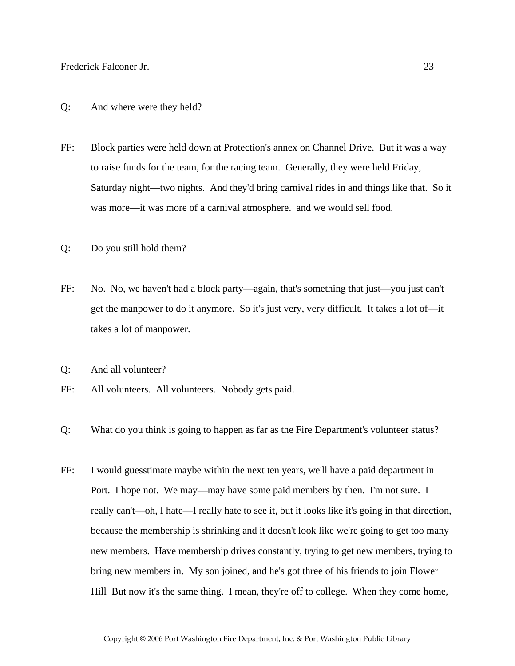## Q: And where were they held?

- FF: Block parties were held down at Protection's annex on Channel Drive. But it was a way to raise funds for the team, for the racing team. Generally, they were held Friday, Saturday night—two nights. And they'd bring carnival rides in and things like that. So it was more—it was more of a carnival atmosphere. and we would sell food.
- Q: Do you still hold them?
- FF: No. No, we haven't had a block party—again, that's something that just—you just can't get the manpower to do it anymore. So it's just very, very difficult. It takes a lot of—it takes a lot of manpower.
- Q: And all volunteer?
- FF: All volunteers. All volunteers. Nobody gets paid.
- Q: What do you think is going to happen as far as the Fire Department's volunteer status?
- FF: I would guesstimate maybe within the next ten years, we'll have a paid department in Port. I hope not. We may—may have some paid members by then. I'm not sure. I really can't—oh, I hate—I really hate to see it, but it looks like it's going in that direction, because the membership is shrinking and it doesn't look like we're going to get too many new members. Have membership drives constantly, trying to get new members, trying to bring new members in. My son joined, and he's got three of his friends to join Flower Hill But now it's the same thing. I mean, they're off to college. When they come home,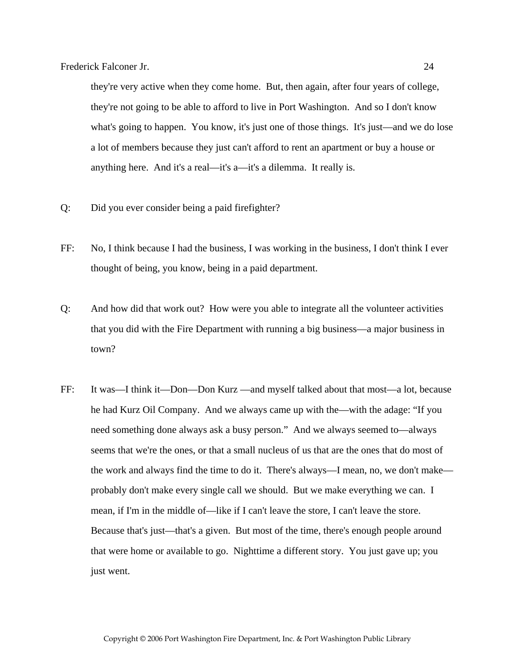they're very active when they come home. But, then again, after four years of college, they're not going to be able to afford to live in Port Washington. And so I don't know what's going to happen. You know, it's just one of those things. It's just—and we do lose a lot of members because they just can't afford to rent an apartment or buy a house or anything here. And it's a real—it's a—it's a dilemma. It really is.

- Q: Did you ever consider being a paid firefighter?
- FF: No, I think because I had the business, I was working in the business, I don't think I ever thought of being, you know, being in a paid department.
- Q: And how did that work out? How were you able to integrate all the volunteer activities that you did with the Fire Department with running a big business—a major business in town?
- FF: It was—I think it—Don—Don Kurz —and myself talked about that most—a lot, because he had Kurz Oil Company. And we always came up with the—with the adage: "If you need something done always ask a busy person." And we always seemed to—always seems that we're the ones, or that a small nucleus of us that are the ones that do most of the work and always find the time to do it. There's always—I mean, no, we don't make probably don't make every single call we should. But we make everything we can. I mean, if I'm in the middle of—like if I can't leave the store, I can't leave the store. Because that's just—that's a given. But most of the time, there's enough people around that were home or available to go. Nighttime a different story. You just gave up; you just went.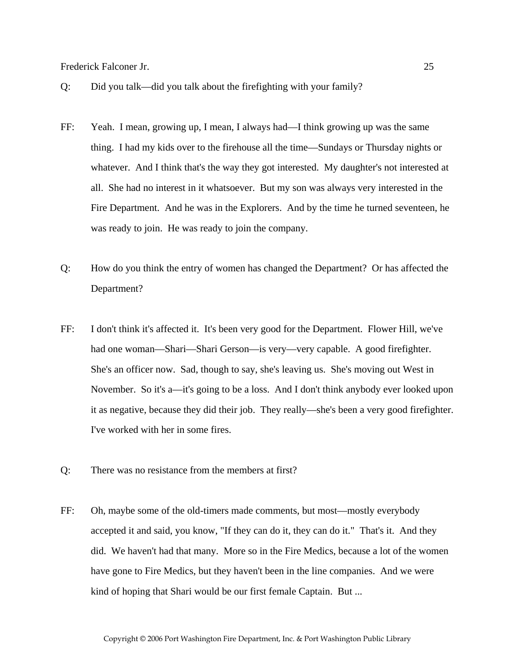- Q: Did you talk—did you talk about the firefighting with your family?
- FF: Yeah. I mean, growing up, I mean, I always had—I think growing up was the same thing. I had my kids over to the firehouse all the time—Sundays or Thursday nights or whatever. And I think that's the way they got interested. My daughter's not interested at all. She had no interest in it whatsoever. But my son was always very interested in the Fire Department. And he was in the Explorers. And by the time he turned seventeen, he was ready to join. He was ready to join the company.
- Q: How do you think the entry of women has changed the Department? Or has affected the Department?
- FF: I don't think it's affected it. It's been very good for the Department. Flower Hill, we've had one woman—Shari—Shari Gerson—is very—very capable. A good firefighter. She's an officer now. Sad, though to say, she's leaving us. She's moving out West in November. So it's a—it's going to be a loss. And I don't think anybody ever looked upon it as negative, because they did their job. They really—she's been a very good firefighter. I've worked with her in some fires.
- Q: There was no resistance from the members at first?
- FF: Oh, maybe some of the old-timers made comments, but most—mostly everybody accepted it and said, you know, "If they can do it, they can do it." That's it. And they did. We haven't had that many. More so in the Fire Medics, because a lot of the women have gone to Fire Medics, but they haven't been in the line companies. And we were kind of hoping that Shari would be our first female Captain. But ...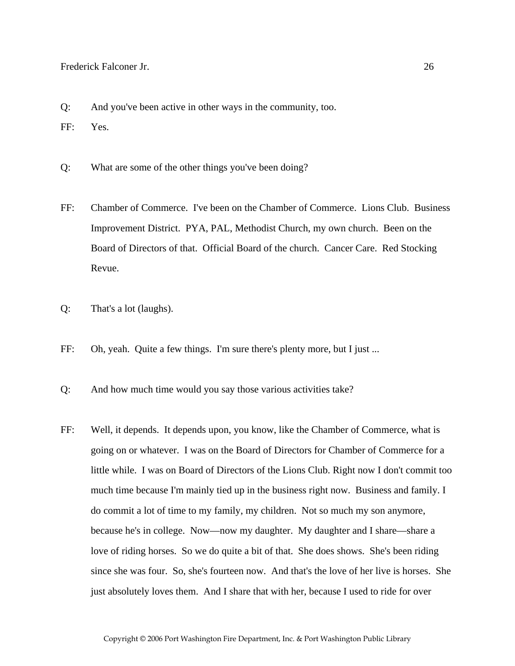- Q: And you've been active in other ways in the community, too.
- FF: Yes.
- Q: What are some of the other things you've been doing?
- FF: Chamber of Commerce. I've been on the Chamber of Commerce. Lions Club. Business Improvement District. PYA, PAL, Methodist Church, my own church. Been on the Board of Directors of that. Official Board of the church. Cancer Care. Red Stocking Revue.
- Q: That's a lot (laughs).
- FF: Oh, yeah. Quite a few things. I'm sure there's plenty more, but I just ...
- Q: And how much time would you say those various activities take?
- FF: Well, it depends. It depends upon, you know, like the Chamber of Commerce, what is going on or whatever. I was on the Board of Directors for Chamber of Commerce for a little while. I was on Board of Directors of the Lions Club. Right now I don't commit too much time because I'm mainly tied up in the business right now. Business and family. I do commit a lot of time to my family, my children. Not so much my son anymore, because he's in college. Now—now my daughter. My daughter and I share—share a love of riding horses. So we do quite a bit of that. She does shows. She's been riding since she was four. So, she's fourteen now. And that's the love of her live is horses. She just absolutely loves them. And I share that with her, because I used to ride for over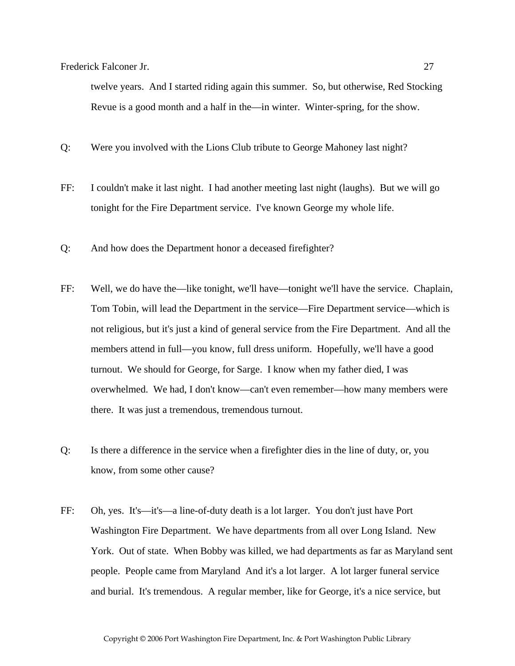twelve years. And I started riding again this summer. So, but otherwise, Red Stocking Revue is a good month and a half in the—in winter. Winter-spring, for the show.

Q: Were you involved with the Lions Club tribute to George Mahoney last night?

- FF: I couldn't make it last night. I had another meeting last night (laughs). But we will go tonight for the Fire Department service. I've known George my whole life.
- Q: And how does the Department honor a deceased firefighter?
- FF: Well, we do have the—like tonight, we'll have—tonight we'll have the service. Chaplain, Tom Tobin, will lead the Department in the service—Fire Department service—which is not religious, but it's just a kind of general service from the Fire Department. And all the members attend in full—you know, full dress uniform. Hopefully, we'll have a good turnout. We should for George, for Sarge. I know when my father died, I was overwhelmed. We had, I don't know—can't even remember—how many members were there. It was just a tremendous, tremendous turnout.
- Q: Is there a difference in the service when a firefighter dies in the line of duty, or, you know, from some other cause?
- FF: Oh, yes. It's—it's—a line-of-duty death is a lot larger. You don't just have Port Washington Fire Department. We have departments from all over Long Island. New York. Out of state. When Bobby was killed, we had departments as far as Maryland sent people. People came from Maryland And it's a lot larger. A lot larger funeral service and burial. It's tremendous. A regular member, like for George, it's a nice service, but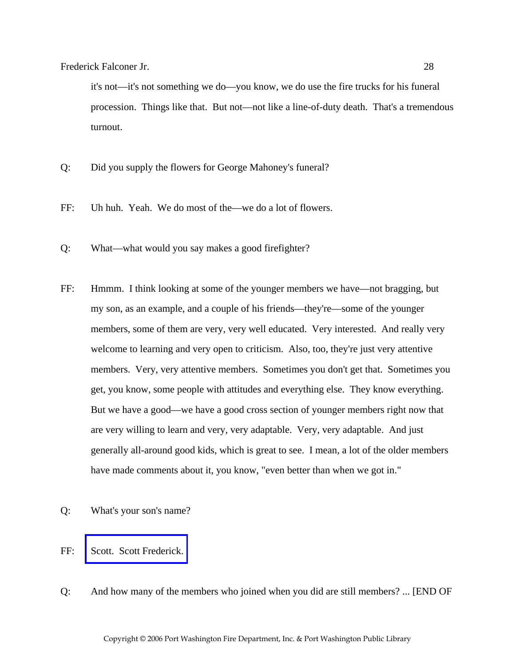it's not—it's not something we do—you know, we do use the fire trucks for his funeral procession. Things like that. But not—not like a line-of-duty death. That's a tremendous turnout.

- Q: Did you supply the flowers for George Mahoney's funeral?
- FF: Uh huh. Yeah. We do most of the—we do a lot of flowers.
- Q: What—what would you say makes a good firefighter?
- FF: Hmmm. I think looking at some of the younger members we have—not bragging, but my son, as an example, and a couple of his friends—they're—some of the younger members, some of them are very, very well educated. Very interested. And really very welcome to learning and very open to criticism. Also, too, they're just very attentive members. Very, very attentive members. Sometimes you don't get that. Sometimes you get, you know, some people with attitudes and everything else. They know everything. But we have a good—we have a good cross section of younger members right now that are very willing to learn and very, very adaptable. Very, very adaptable. And just generally all-around good kids, which is great to see. I mean, a lot of the older members have made comments about it, you know, "even better than when we got in."
- Q: What's your son's name?
- FF: [Scott. Scott Frederick.](http://www.pwfdhistory.com/trans/falconerf_trans/peco_members046_web.jpg)
- Q: And how many of the members who joined when you did are still members? ... [END OF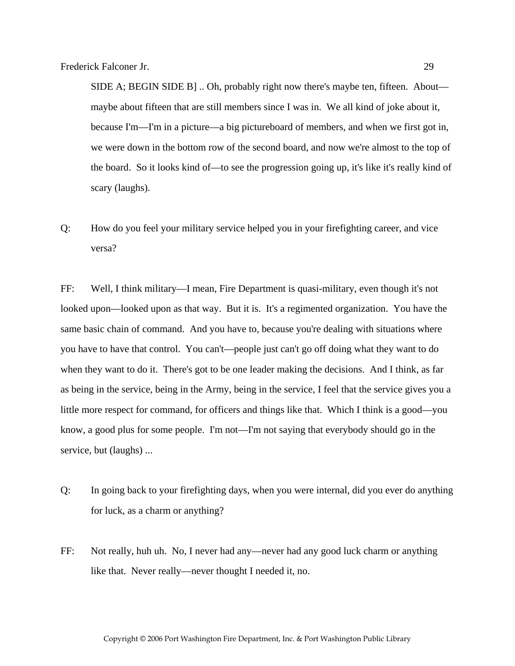SIDE A; BEGIN SIDE B] .. Oh, probably right now there's maybe ten, fifteen. About maybe about fifteen that are still members since I was in. We all kind of joke about it, because I'm—I'm in a picture—a big pictureboard of members, and when we first got in, we were down in the bottom row of the second board, and now we're almost to the top of the board. So it looks kind of—to see the progression going up, it's like it's really kind of scary (laughs).

Q: How do you feel your military service helped you in your firefighting career, and vice versa?

FF: Well, I think military—I mean, Fire Department is quasi-military, even though it's not looked upon—looked upon as that way. But it is. It's a regimented organization. You have the same basic chain of command. And you have to, because you're dealing with situations where you have to have that control. You can't—people just can't go off doing what they want to do when they want to do it. There's got to be one leader making the decisions. And I think, as far as being in the service, being in the Army, being in the service, I feel that the service gives you a little more respect for command, for officers and things like that. Which I think is a good—you know, a good plus for some people. I'm not—I'm not saying that everybody should go in the service, but (laughs) ...

- Q: In going back to your firefighting days, when you were internal, did you ever do anything for luck, as a charm or anything?
- FF: Not really, huh uh. No, I never had any—never had any good luck charm or anything like that. Never really—never thought I needed it, no.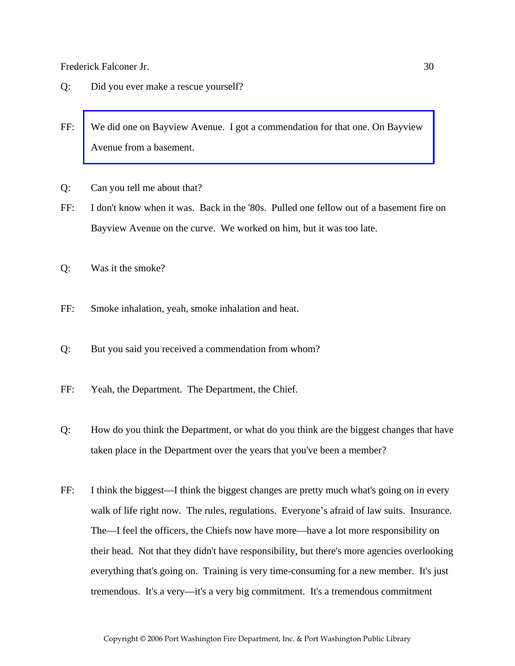- Q: Did you ever make a rescue yourself?
- FF: [We did one on Bayview Avenue. I got a commendation for that one. On Bayview](http://www.pwfdhistory.com/trans/falconerf_trans/news_cocks243a.jpg)  Avenue from a basement.
- Q: Can you tell me about that?
- FF: I don't know when it was. Back in the '80s. Pulled one fellow out of a basement fire on Bayview Avenue on the curve. We worked on him, but it was too late.
- Q: Was it the smoke?
- FF: Smoke inhalation, yeah, smoke inhalation and heat.
- Q: But you said you received a commendation from whom?
- FF: Yeah, the Department. The Department, the Chief.
- Q: How do you think the Department, or what do you think are the biggest changes that have taken place in the Department over the years that you've been a member?
- FF: I think the biggest—I think the biggest changes are pretty much what's going on in every walk of life right now. The rules, regulations. Everyone's afraid of law suits. Insurance. The—I feel the officers, the Chiefs now have more—have a lot more responsibility on their head. Not that they didn't have responsibility, but there's more agencies overlooking everything that's going on. Training is very time-consuming for a new member. It's just tremendous. It's a very—it's a very big commitment. It's a tremendous commitment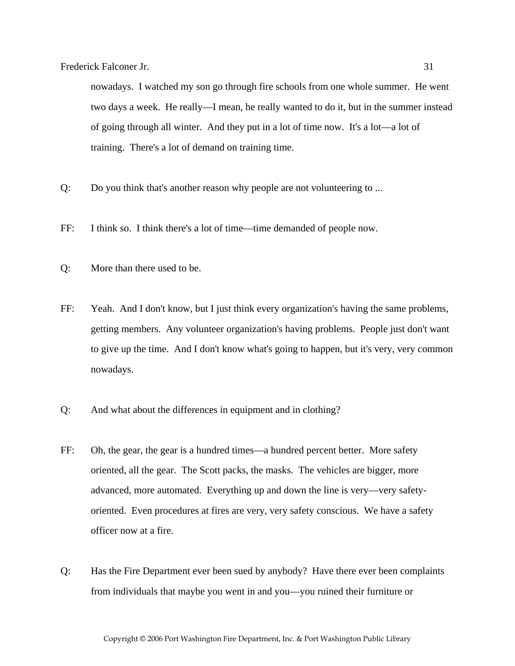nowadays. I watched my son go through fire schools from one whole summer. He went two days a week. He really—I mean, he really wanted to do it, but in the summer instead of going through all winter. And they put in a lot of time now. It's a lot—a lot of training. There's a lot of demand on training time.

- Q: Do you think that's another reason why people are not volunteering to ...
- FF: I think so. I think there's a lot of time—time demanded of people now.
- Q: More than there used to be.
- FF: Yeah. And I don't know, but I just think every organization's having the same problems, getting members. Any volunteer organization's having problems. People just don't want to give up the time. And I don't know what's going to happen, but it's very, very common nowadays.
- Q: And what about the differences in equipment and in clothing?
- FF: Oh, the gear, the gear is a hundred times—a hundred percent better. More safety oriented, all the gear. The Scott packs, the masks. The vehicles are bigger, more advanced, more automated. Everything up and down the line is very—very safetyoriented. Even procedures at fires are very, very safety conscious. We have a safety officer now at a fire.
- Q: Has the Fire Department ever been sued by anybody? Have there ever been complaints from individuals that maybe you went in and you—you ruined their furniture or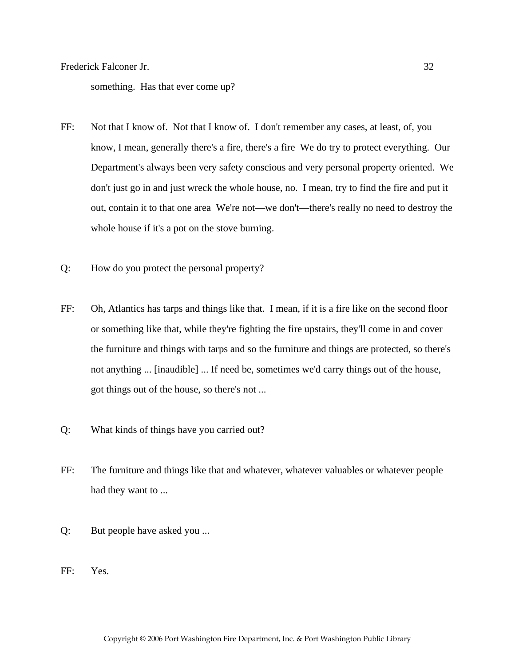something. Has that ever come up?

- FF: Not that I know of. Not that I know of. I don't remember any cases, at least, of, you know, I mean, generally there's a fire, there's a fire We do try to protect everything. Our Department's always been very safety conscious and very personal property oriented. We don't just go in and just wreck the whole house, no. I mean, try to find the fire and put it out, contain it to that one area We're not—we don't—there's really no need to destroy the whole house if it's a pot on the stove burning.
- Q: How do you protect the personal property?
- FF: Oh, Atlantics has tarps and things like that. I mean, if it is a fire like on the second floor or something like that, while they're fighting the fire upstairs, they'll come in and cover the furniture and things with tarps and so the furniture and things are protected, so there's not anything ... [inaudible] ... If need be, sometimes we'd carry things out of the house, got things out of the house, so there's not ...
- Q: What kinds of things have you carried out?
- FF: The furniture and things like that and whatever, whatever valuables or whatever people had they want to ...
- Q: But people have asked you ...
- FF: Yes.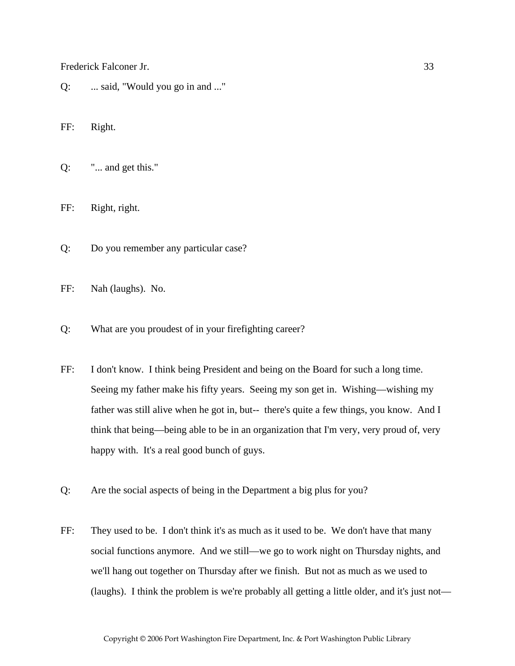Q: ... said, "Would you go in and ..."

FF: Right.

Q: "... and get this."

FF: Right, right.

- Q: Do you remember any particular case?
- FF: Nah (laughs). No.
- Q: What are you proudest of in your firefighting career?
- FF: I don't know. I think being President and being on the Board for such a long time. Seeing my father make his fifty years. Seeing my son get in. Wishing—wishing my father was still alive when he got in, but-- there's quite a few things, you know. And I think that being—being able to be in an organization that I'm very, very proud of, very happy with. It's a real good bunch of guys.
- Q: Are the social aspects of being in the Department a big plus for you?
- FF: They used to be. I don't think it's as much as it used to be. We don't have that many social functions anymore. And we still—we go to work night on Thursday nights, and we'll hang out together on Thursday after we finish. But not as much as we used to (laughs). I think the problem is we're probably all getting a little older, and it's just not—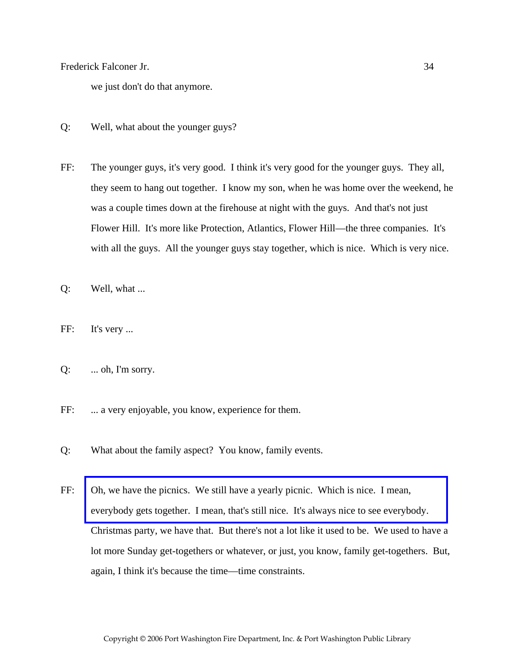we just don't do that anymore.

- Q: Well, what about the younger guys?
- FF: The younger guys, it's very good. I think it's very good for the younger guys. They all, they seem to hang out together. I know my son, when he was home over the weekend, he was a couple times down at the firehouse at night with the guys. And that's not just Flower Hill. It's more like Protection, Atlantics, Flower Hill—the three companies. It's with all the guys. All the younger guys stay together, which is nice. Which is very nice.
- Q: Well, what ...
- FF: It's very ...
- $Q: \quad \dots \text{oh}, \text{I'm sorry.}$
- FF: ... a very enjoyable, you know, experience for them.
- Q: What about the family aspect? You know, family events.
- FF: Oh, we have the picnics. We still have a yearly picnic. Which is nice. I mean, [everybody gets together. I mean, that's still nice. It's always nice to see everybody.](http://www.pwfdhistory.com/trans/falconerf_trans/fhh_picnic002.jpg)  Christmas party, we have that. But there's not a lot like it used to be. We used to have a lot more Sunday get-togethers or whatever, or just, you know, family get-togethers. But, again, I think it's because the time—time constraints.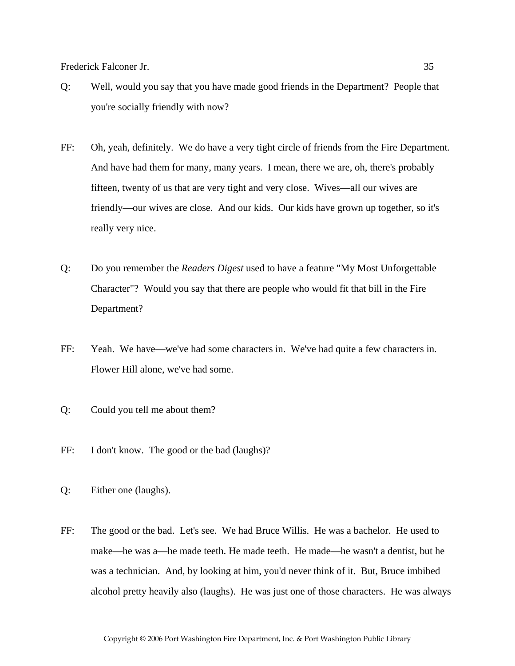- Q: Well, would you say that you have made good friends in the Department? People that you're socially friendly with now?
- FF: Oh, yeah, definitely. We do have a very tight circle of friends from the Fire Department. And have had them for many, many years. I mean, there we are, oh, there's probably fifteen, twenty of us that are very tight and very close. Wives—all our wives are friendly—our wives are close. And our kids. Our kids have grown up together, so it's really very nice.
- Q: Do you remember the *Readers Digest* used to have a feature "My Most Unforgettable Character"? Would you say that there are people who would fit that bill in the Fire Department?
- FF: Yeah. We have—we've had some characters in. We've had quite a few characters in. Flower Hill alone, we've had some.
- Q: Could you tell me about them?
- FF: I don't know. The good or the bad (laughs)?
- Q: Either one (laughs).
- FF: The good or the bad. Let's see. We had Bruce Willis. He was a bachelor. He used to make—he was a—he made teeth. He made teeth. He made—he wasn't a dentist, but he was a technician. And, by looking at him, you'd never think of it. But, Bruce imbibed alcohol pretty heavily also (laughs). He was just one of those characters. He was always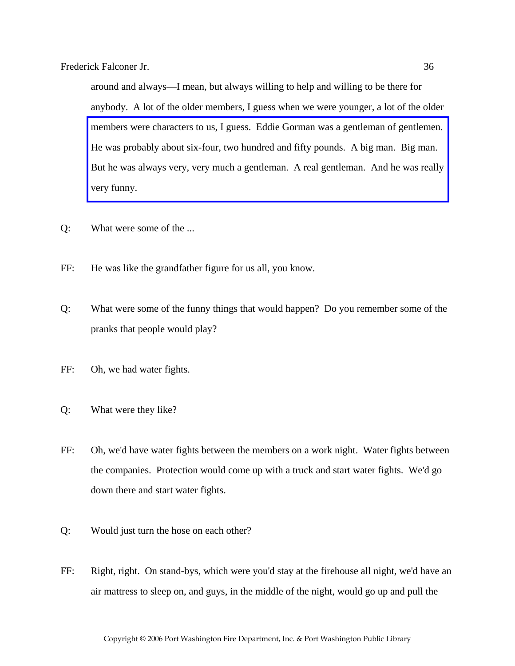around and always—I mean, but always willing to help and willing to be there for anybody. A lot of the older members, I guess when we were younger, a lot of the older members were characters to us, I guess. Eddie Gorman was a gentleman of gentlemen. He was probably about six-four, two hundred and fifty pounds. A big man. Big man. [But he was always very, very much a gentleman. A real gentleman. And he was really](http://www.pwfdhistory.com/trans/falconerf_trans/news_cocks187a_web.jpg)  very funny.

- Q: What were some of the ...
- FF: He was like the grandfather figure for us all, you know.
- Q: What were some of the funny things that would happen? Do you remember some of the pranks that people would play?
- FF: Oh, we had water fights.
- Q: What were they like?
- FF: Oh, we'd have water fights between the members on a work night. Water fights between the companies. Protection would come up with a truck and start water fights. We'd go down there and start water fights.
- Q: Would just turn the hose on each other?
- FF: Right, right. On stand-bys, which were you'd stay at the firehouse all night, we'd have an air mattress to sleep on, and guys, in the middle of the night, would go up and pull the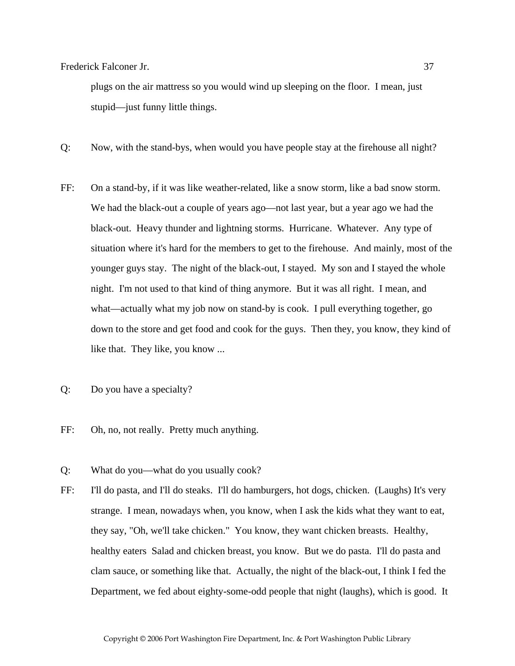plugs on the air mattress so you would wind up sleeping on the floor. I mean, just stupid—just funny little things.

- Q: Now, with the stand-bys, when would you have people stay at the firehouse all night?
- FF: On a stand-by, if it was like weather-related, like a snow storm, like a bad snow storm. We had the black-out a couple of years ago—not last year, but a year ago we had the black-out. Heavy thunder and lightning storms. Hurricane. Whatever. Any type of situation where it's hard for the members to get to the firehouse. And mainly, most of the younger guys stay. The night of the black-out, I stayed. My son and I stayed the whole night. I'm not used to that kind of thing anymore. But it was all right. I mean, and what—actually what my job now on stand-by is cook. I pull everything together, go down to the store and get food and cook for the guys. Then they, you know, they kind of like that. They like, you know ...
- Q: Do you have a specialty?
- FF: Oh, no, not really. Pretty much anything.
- Q: What do you—what do you usually cook?
- FF: I'll do pasta, and I'll do steaks. I'll do hamburgers, hot dogs, chicken. (Laughs) It's very strange. I mean, nowadays when, you know, when I ask the kids what they want to eat, they say, "Oh, we'll take chicken." You know, they want chicken breasts. Healthy, healthy eaters Salad and chicken breast, you know. But we do pasta. I'll do pasta and clam sauce, or something like that. Actually, the night of the black-out, I think I fed the Department, we fed about eighty-some-odd people that night (laughs), which is good. It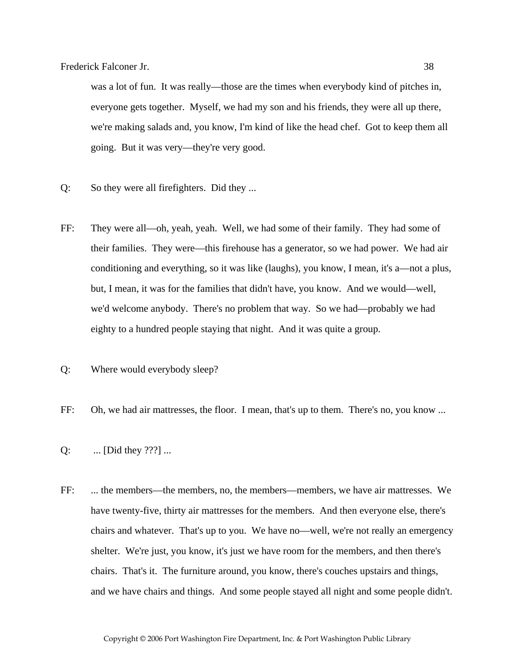was a lot of fun. It was really—those are the times when everybody kind of pitches in, everyone gets together. Myself, we had my son and his friends, they were all up there, we're making salads and, you know, I'm kind of like the head chef. Got to keep them all going. But it was very—they're very good.

- Q: So they were all firefighters. Did they ...
- FF: They were all—oh, yeah, yeah. Well, we had some of their family. They had some of their families. They were—this firehouse has a generator, so we had power. We had air conditioning and everything, so it was like (laughs), you know, I mean, it's a—not a plus, but, I mean, it was for the families that didn't have, you know. And we would—well, we'd welcome anybody. There's no problem that way. So we had—probably we had eighty to a hundred people staying that night. And it was quite a group.
- Q: Where would everybody sleep?
- FF: Oh, we had air mattresses, the floor. I mean, that's up to them. There's no, you know ...
- Q: ... [Did they ???] ...
- FF: ... the members—the members, no, the members—members, we have air mattresses. We have twenty-five, thirty air mattresses for the members. And then everyone else, there's chairs and whatever. That's up to you. We have no—well, we're not really an emergency shelter. We're just, you know, it's just we have room for the members, and then there's chairs. That's it. The furniture around, you know, there's couches upstairs and things, and we have chairs and things. And some people stayed all night and some people didn't.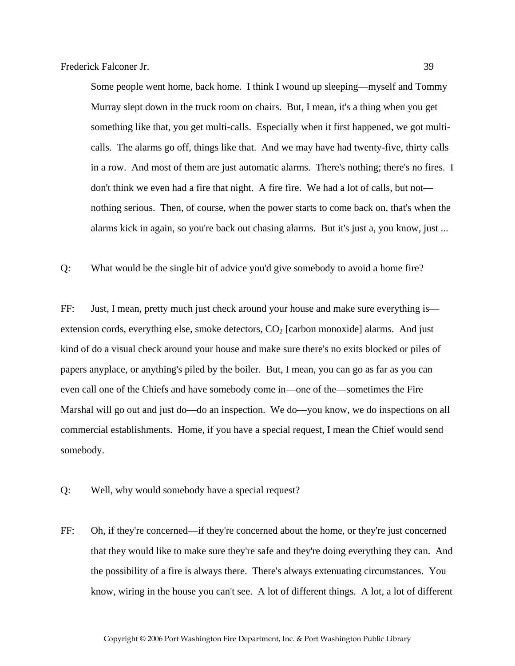Some people went home, back home. I think I wound up sleeping—myself and Tommy Murray slept down in the truck room on chairs. But, I mean, it's a thing when you get something like that, you get multi-calls. Especially when it first happened, we got multicalls. The alarms go off, things like that. And we may have had twenty-five, thirty calls in a row. And most of them are just automatic alarms. There's nothing; there's no fires. I don't think we even had a fire that night. A fire fire. We had a lot of calls, but not nothing serious. Then, of course, when the power starts to come back on, that's when the alarms kick in again, so you're back out chasing alarms. But it's just a, you know, just ...

Q: What would be the single bit of advice you'd give somebody to avoid a home fire?

FF: Just, I mean, pretty much just check around your house and make sure everything is extension cords, everything else, smoke detectors,  $CO<sub>2</sub>$  [carbon monoxide] alarms. And just kind of do a visual check around your house and make sure there's no exits blocked or piles of papers anyplace, or anything's piled by the boiler. But, I mean, you can go as far as you can even call one of the Chiefs and have somebody come in—one of the—sometimes the Fire Marshal will go out and just do—do an inspection. We do—you know, we do inspections on all commercial establishments. Home, if you have a special request, I mean the Chief would send somebody.

- Q: Well, why would somebody have a special request?
- FF: Oh, if they're concerned—if they're concerned about the home, or they're just concerned that they would like to make sure they're safe and they're doing everything they can. And the possibility of a fire is always there. There's always extenuating circumstances. You know, wiring in the house you can't see. A lot of different things. A lot, a lot of different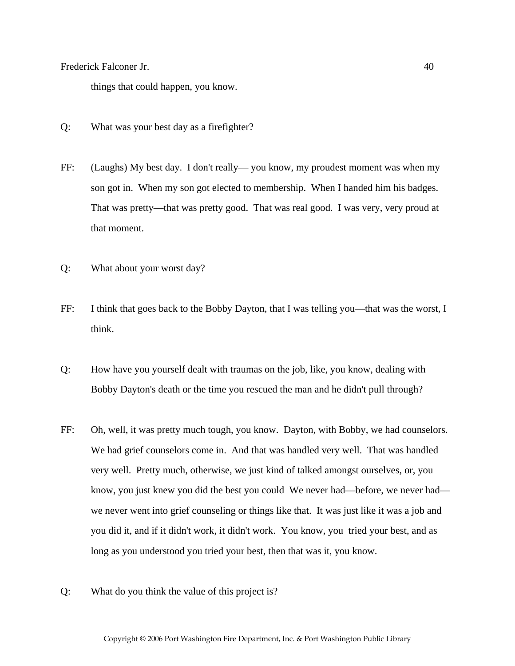things that could happen, you know.

- Q: What was your best day as a firefighter?
- FF: (Laughs) My best day. I don't really— you know, my proudest moment was when my son got in. When my son got elected to membership. When I handed him his badges. That was pretty—that was pretty good. That was real good. I was very, very proud at that moment.
- Q: What about your worst day?
- FF: I think that goes back to the Bobby Dayton, that I was telling you—that was the worst, I think.
- Q: How have you yourself dealt with traumas on the job, like, you know, dealing with Bobby Dayton's death or the time you rescued the man and he didn't pull through?
- FF: Oh, well, it was pretty much tough, you know. Dayton, with Bobby, we had counselors. We had grief counselors come in. And that was handled very well. That was handled very well. Pretty much, otherwise, we just kind of talked amongst ourselves, or, you know, you just knew you did the best you could We never had—before, we never had we never went into grief counseling or things like that. It was just like it was a job and you did it, and if it didn't work, it didn't work. You know, you tried your best, and as long as you understood you tried your best, then that was it, you know.
- Q: What do you think the value of this project is?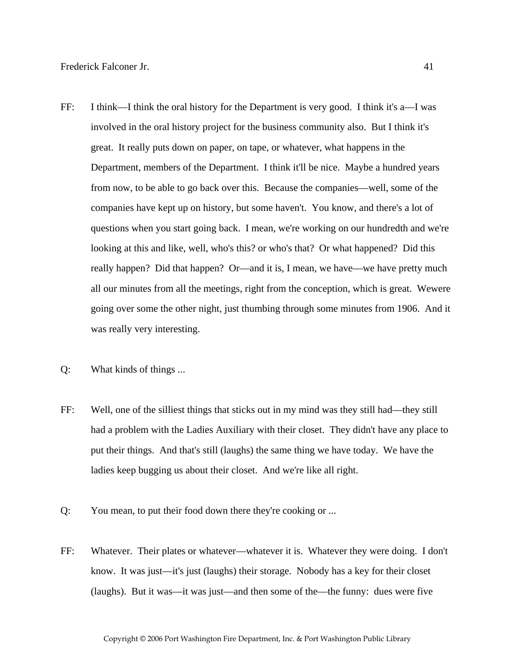- FF: I think—I think the oral history for the Department is very good. I think it's a—I was involved in the oral history project for the business community also. But I think it's great. It really puts down on paper, on tape, or whatever, what happens in the Department, members of the Department. I think it'll be nice. Maybe a hundred years from now, to be able to go back over this. Because the companies—well, some of the companies have kept up on history, but some haven't. You know, and there's a lot of questions when you start going back. I mean, we're working on our hundredth and we're looking at this and like, well, who's this? or who's that? Or what happened? Did this really happen? Did that happen? Or—and it is, I mean, we have—we have pretty much all our minutes from all the meetings, right from the conception, which is great. Wewere going over some the other night, just thumbing through some minutes from 1906. And it was really very interesting.
- Q: What kinds of things ...
- FF: Well, one of the silliest things that sticks out in my mind was they still had—they still had a problem with the Ladies Auxiliary with their closet. They didn't have any place to put their things. And that's still (laughs) the same thing we have today. We have the ladies keep bugging us about their closet. And we're like all right.
- Q: You mean, to put their food down there they're cooking or ...
- FF: Whatever. Their plates or whatever—whatever it is. Whatever they were doing. I don't know. It was just—it's just (laughs) their storage. Nobody has a key for their closet (laughs). But it was—it was just—and then some of the—the funny: dues were five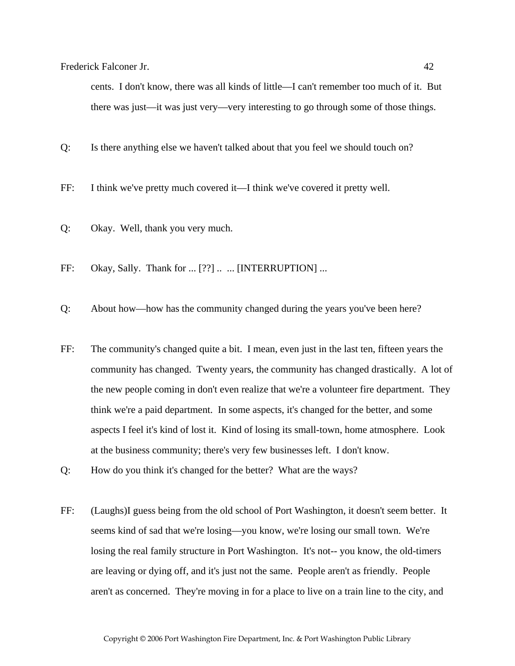cents. I don't know, there was all kinds of little—I can't remember too much of it. But there was just—it was just very—very interesting to go through some of those things.

Q: Is there anything else we haven't talked about that you feel we should touch on?

FF: I think we've pretty much covered it—I think we've covered it pretty well.

- Q: Okay. Well, thank you very much.
- FF: Okay, Sally. Thank for ... [??] .. ... [INTERRUPTION] ...
- Q: About how—how has the community changed during the years you've been here?
- FF: The community's changed quite a bit. I mean, even just in the last ten, fifteen years the community has changed. Twenty years, the community has changed drastically. A lot of the new people coming in don't even realize that we're a volunteer fire department. They think we're a paid department. In some aspects, it's changed for the better, and some aspects I feel it's kind of lost it. Kind of losing its small-town, home atmosphere. Look at the business community; there's very few businesses left. I don't know.
- Q: How do you think it's changed for the better? What are the ways?
- FF: (Laughs)I guess being from the old school of Port Washington, it doesn't seem better. It seems kind of sad that we're losing—you know, we're losing our small town. We're losing the real family structure in Port Washington. It's not-- you know, the old-timers are leaving or dying off, and it's just not the same. People aren't as friendly. People aren't as concerned. They're moving in for a place to live on a train line to the city, and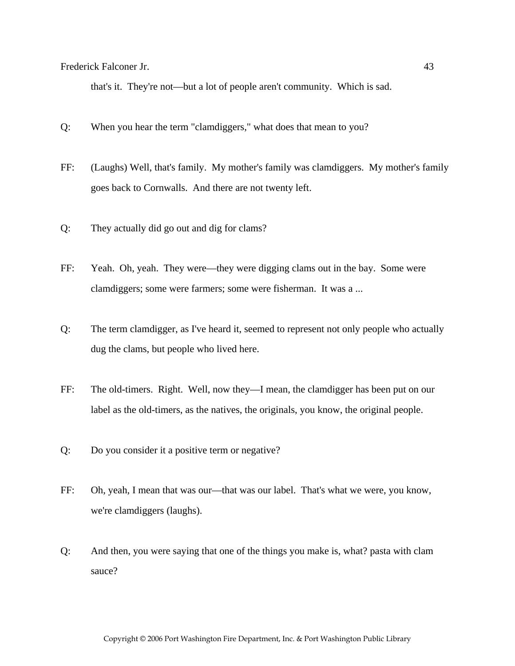that's it. They're not—but a lot of people aren't community. Which is sad.

- Q: When you hear the term "clamdiggers," what does that mean to you?
- FF: (Laughs) Well, that's family. My mother's family was clamdiggers. My mother's family goes back to Cornwalls. And there are not twenty left.
- Q: They actually did go out and dig for clams?
- FF: Yeah. Oh, yeah. They were—they were digging clams out in the bay. Some were clamdiggers; some were farmers; some were fisherman. It was a ...
- Q: The term clamdigger, as I've heard it, seemed to represent not only people who actually dug the clams, but people who lived here.
- FF: The old-timers. Right. Well, now they—I mean, the clamdigger has been put on our label as the old-timers, as the natives, the originals, you know, the original people.
- Q: Do you consider it a positive term or negative?
- FF: Oh, yeah, I mean that was our—that was our label. That's what we were, you know, we're clamdiggers (laughs).
- Q: And then, you were saying that one of the things you make is, what? pasta with clam sauce?